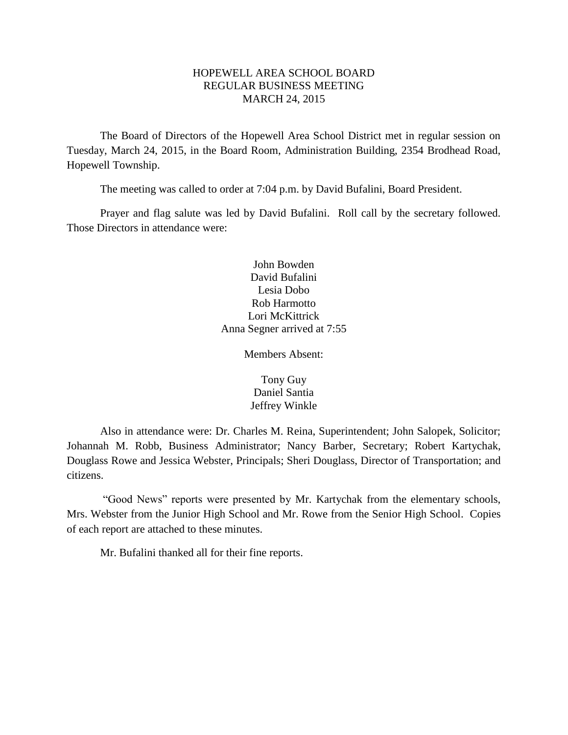## HOPEWELL AREA SCHOOL BOARD REGULAR BUSINESS MEETING MARCH 24, 2015

The Board of Directors of the Hopewell Area School District met in regular session on Tuesday, March 24, 2015, in the Board Room, Administration Building, 2354 Brodhead Road, Hopewell Township.

The meeting was called to order at 7:04 p.m. by David Bufalini, Board President.

Prayer and flag salute was led by David Bufalini. Roll call by the secretary followed. Those Directors in attendance were:

> John Bowden David Bufalini Lesia Dobo Rob Harmotto Lori McKittrick Anna Segner arrived at 7:55

> > Members Absent:

Tony Guy Daniel Santia Jeffrey Winkle

Also in attendance were: Dr. Charles M. Reina, Superintendent; John Salopek, Solicitor; Johannah M. Robb, Business Administrator; Nancy Barber, Secretary; Robert Kartychak, Douglass Rowe and Jessica Webster, Principals; Sheri Douglass, Director of Transportation; and citizens.

"Good News" reports were presented by Mr. Kartychak from the elementary schools, Mrs. Webster from the Junior High School and Mr. Rowe from the Senior High School. Copies of each report are attached to these minutes.

Mr. Bufalini thanked all for their fine reports.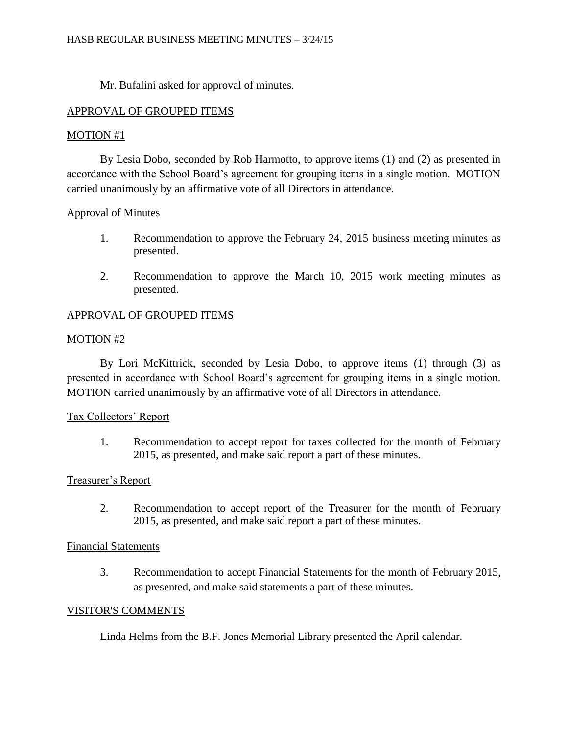Mr. Bufalini asked for approval of minutes.

# APPROVAL OF GROUPED ITEMS

## MOTION #1

By Lesia Dobo, seconded by Rob Harmotto, to approve items (1) and (2) as presented in accordance with the School Board's agreement for grouping items in a single motion. MOTION carried unanimously by an affirmative vote of all Directors in attendance.

# Approval of Minutes

- 1. Recommendation to approve the February 24, 2015 business meeting minutes as presented.
- 2. Recommendation to approve the March 10, 2015 work meeting minutes as presented.

# APPROVAL OF GROUPED ITEMS

## MOTION #2

By Lori McKittrick, seconded by Lesia Dobo, to approve items (1) through (3) as presented in accordance with School Board's agreement for grouping items in a single motion. MOTION carried unanimously by an affirmative vote of all Directors in attendance.

## Tax Collectors' Report

1. Recommendation to accept report for taxes collected for the month of February 2015, as presented, and make said report a part of these minutes.

## Treasurer's Report

2. Recommendation to accept report of the Treasurer for the month of February 2015, as presented, and make said report a part of these minutes.

## Financial Statements

3. Recommendation to accept Financial Statements for the month of February 2015, as presented, and make said statements a part of these minutes.

## VISITOR'S COMMENTS

Linda Helms from the B.F. Jones Memorial Library presented the April calendar.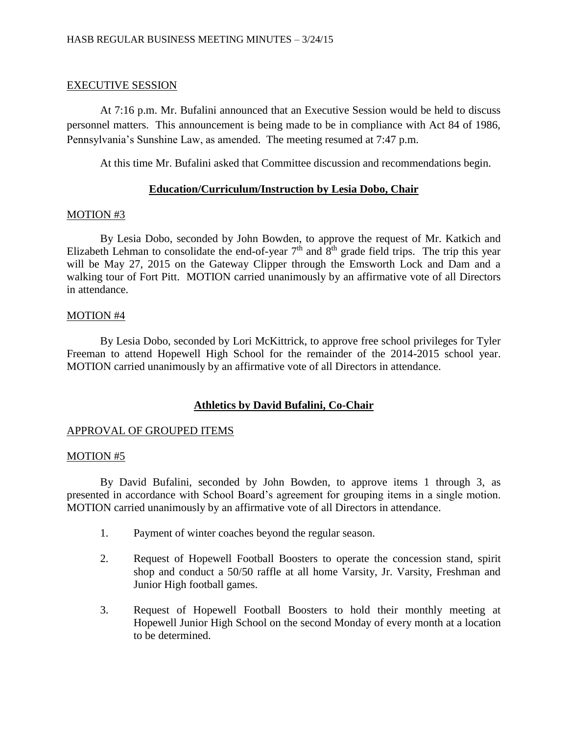## EXECUTIVE SESSION

At 7:16 p.m. Mr. Bufalini announced that an Executive Session would be held to discuss personnel matters. This announcement is being made to be in compliance with Act 84 of 1986, Pennsylvania's Sunshine Law, as amended. The meeting resumed at 7:47 p.m.

At this time Mr. Bufalini asked that Committee discussion and recommendations begin.

# **Education/Curriculum/Instruction by Lesia Dobo, Chair**

## MOTION #3

By Lesia Dobo, seconded by John Bowden, to approve the request of Mr. Katkich and Elizabeth Lehman to consolidate the end-of-year  $7<sup>th</sup>$  and  $8<sup>th</sup>$  grade field trips. The trip this year will be May 27, 2015 on the Gateway Clipper through the Emsworth Lock and Dam and a walking tour of Fort Pitt. MOTION carried unanimously by an affirmative vote of all Directors in attendance.

## MOTION #4

By Lesia Dobo, seconded by Lori McKittrick, to approve free school privileges for Tyler Freeman to attend Hopewell High School for the remainder of the 2014-2015 school year. MOTION carried unanimously by an affirmative vote of all Directors in attendance.

## **Athletics by David Bufalini, Co-Chair**

## APPROVAL OF GROUPED ITEMS

## MOTION #5

By David Bufalini, seconded by John Bowden, to approve items 1 through 3, as presented in accordance with School Board's agreement for grouping items in a single motion. MOTION carried unanimously by an affirmative vote of all Directors in attendance.

- 1. Payment of winter coaches beyond the regular season.
- 2. Request of Hopewell Football Boosters to operate the concession stand, spirit shop and conduct a 50/50 raffle at all home Varsity, Jr. Varsity, Freshman and Junior High football games.
- 3. Request of Hopewell Football Boosters to hold their monthly meeting at Hopewell Junior High School on the second Monday of every month at a location to be determined.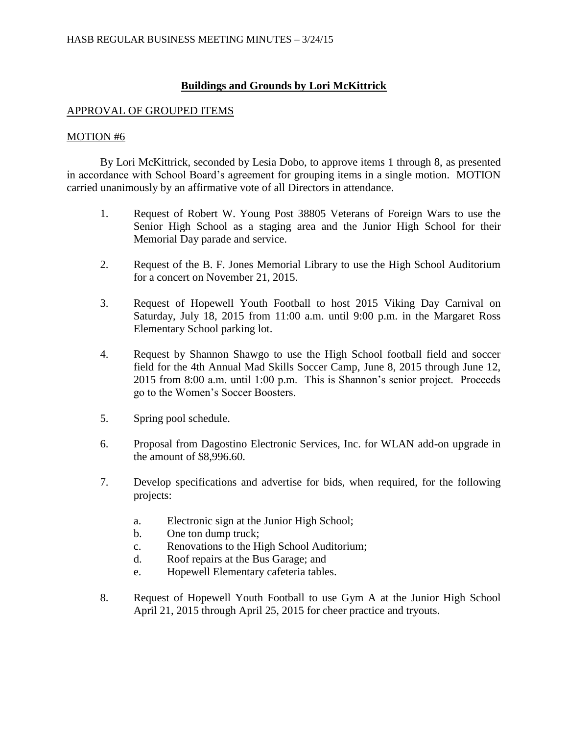# **Buildings and Grounds by Lori McKittrick**

## APPROVAL OF GROUPED ITEMS

## MOTION #6

By Lori McKittrick, seconded by Lesia Dobo, to approve items 1 through 8, as presented in accordance with School Board's agreement for grouping items in a single motion. MOTION carried unanimously by an affirmative vote of all Directors in attendance.

- 1. Request of Robert W. Young Post 38805 Veterans of Foreign Wars to use the Senior High School as a staging area and the Junior High School for their Memorial Day parade and service.
- 2. Request of the B. F. Jones Memorial Library to use the High School Auditorium for a concert on November 21, 2015.
- 3. Request of Hopewell Youth Football to host 2015 Viking Day Carnival on Saturday, July 18, 2015 from 11:00 a.m. until 9:00 p.m. in the Margaret Ross Elementary School parking lot.
- 4. Request by Shannon Shawgo to use the High School football field and soccer field for the 4th Annual Mad Skills Soccer Camp, June 8, 2015 through June 12, 2015 from 8:00 a.m. until 1:00 p.m. This is Shannon's senior project. Proceeds go to the Women's Soccer Boosters.
- 5. Spring pool schedule.
- 6. Proposal from Dagostino Electronic Services, Inc. for WLAN add-on upgrade in the amount of \$8,996.60.
- 7. Develop specifications and advertise for bids, when required, for the following projects:
	- a. Electronic sign at the Junior High School;
	- b. One ton dump truck;
	- c. Renovations to the High School Auditorium;
	- d. Roof repairs at the Bus Garage; and
	- e. Hopewell Elementary cafeteria tables.
- 8. Request of Hopewell Youth Football to use Gym A at the Junior High School April 21, 2015 through April 25, 2015 for cheer practice and tryouts.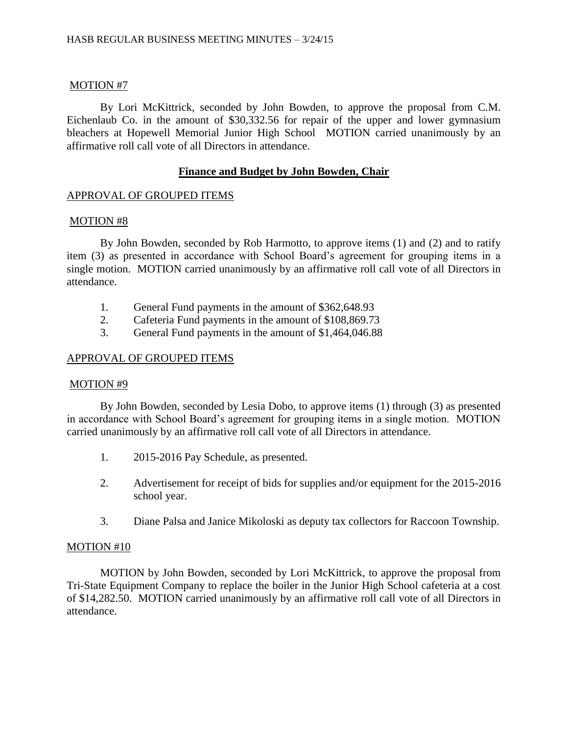### MOTION #7

By Lori McKittrick, seconded by John Bowden, to approve the proposal from C.M. Eichenlaub Co. in the amount of \$30,332.56 for repair of the upper and lower gymnasium bleachers at Hopewell Memorial Junior High School MOTION carried unanimously by an affirmative roll call vote of all Directors in attendance.

### **Finance and Budget by John Bowden, Chair**

#### APPROVAL OF GROUPED ITEMS

#### MOTION #8

By John Bowden, seconded by Rob Harmotto, to approve items (1) and (2) and to ratify item (3) as presented in accordance with School Board's agreement for grouping items in a single motion. MOTION carried unanimously by an affirmative roll call vote of all Directors in attendance.

- 1. General Fund payments in the amount of \$362,648.93
- 2. Cafeteria Fund payments in the amount of \$108,869.73
- 3. General Fund payments in the amount of \$1,464,046.88

## APPROVAL OF GROUPED ITEMS

#### MOTION #9

By John Bowden, seconded by Lesia Dobo, to approve items (1) through (3) as presented in accordance with School Board's agreement for grouping items in a single motion. MOTION carried unanimously by an affirmative roll call vote of all Directors in attendance.

- 1. 2015-2016 Pay Schedule, as presented.
- 2. Advertisement for receipt of bids for supplies and/or equipment for the 2015-2016 school year.
- 3. Diane Palsa and Janice Mikoloski as deputy tax collectors for Raccoon Township.

#### MOTION #10

MOTION by John Bowden, seconded by Lori McKittrick, to approve the proposal from Tri-State Equipment Company to replace the boiler in the Junior High School cafeteria at a cost of \$14,282.50. MOTION carried unanimously by an affirmative roll call vote of all Directors in attendance.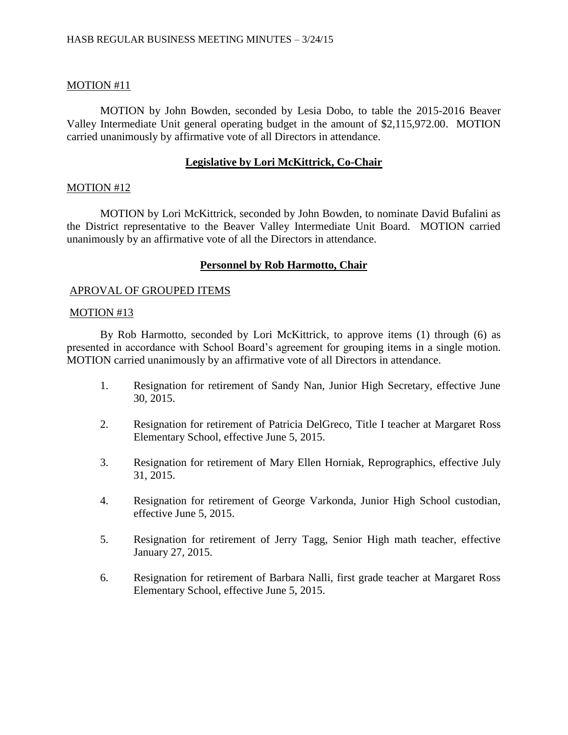# MOTION #11

MOTION by John Bowden, seconded by Lesia Dobo, to table the 2015-2016 Beaver Valley Intermediate Unit general operating budget in the amount of \$2,115,972.00. MOTION carried unanimously by affirmative vote of all Directors in attendance.

# **Legislative by Lori McKittrick, Co-Chair**

## MOTION #12

MOTION by Lori McKittrick, seconded by John Bowden, to nominate David Bufalini as the District representative to the Beaver Valley Intermediate Unit Board. MOTION carried unanimously by an affirmative vote of all the Directors in attendance.

# **Personnel by Rob Harmotto, Chair**

## APROVAL OF GROUPED ITEMS

## MOTION #13

By Rob Harmotto, seconded by Lori McKittrick, to approve items (1) through (6) as presented in accordance with School Board's agreement for grouping items in a single motion. MOTION carried unanimously by an affirmative vote of all Directors in attendance.

- 1. Resignation for retirement of Sandy Nan, Junior High Secretary, effective June 30, 2015.
- 2. Resignation for retirement of Patricia DelGreco, Title I teacher at Margaret Ross Elementary School, effective June 5, 2015.
- 3. Resignation for retirement of Mary Ellen Horniak, Reprographics, effective July 31, 2015.
- 4. Resignation for retirement of George Varkonda, Junior High School custodian, effective June 5, 2015.
- 5. Resignation for retirement of Jerry Tagg, Senior High math teacher, effective January 27, 2015.
- 6. Resignation for retirement of Barbara Nalli, first grade teacher at Margaret Ross Elementary School, effective June 5, 2015.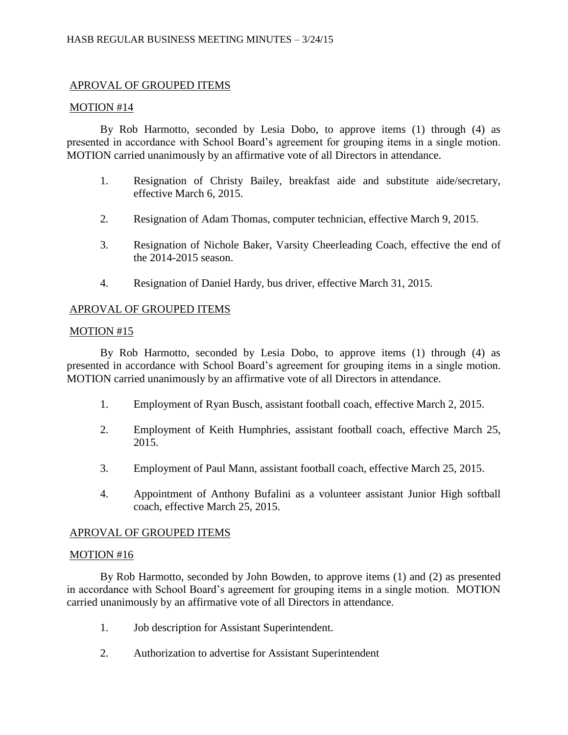# APROVAL OF GROUPED ITEMS

## MOTION #14

By Rob Harmotto, seconded by Lesia Dobo, to approve items (1) through (4) as presented in accordance with School Board's agreement for grouping items in a single motion. MOTION carried unanimously by an affirmative vote of all Directors in attendance.

- 1. Resignation of Christy Bailey, breakfast aide and substitute aide/secretary, effective March 6, 2015.
- 2. Resignation of Adam Thomas, computer technician, effective March 9, 2015.
- 3. Resignation of Nichole Baker, Varsity Cheerleading Coach, effective the end of the 2014-2015 season.
- 4. Resignation of Daniel Hardy, bus driver, effective March 31, 2015.

## APROVAL OF GROUPED ITEMS

## MOTION #15

By Rob Harmotto, seconded by Lesia Dobo, to approve items (1) through (4) as presented in accordance with School Board's agreement for grouping items in a single motion. MOTION carried unanimously by an affirmative vote of all Directors in attendance.

- 1. Employment of Ryan Busch, assistant football coach, effective March 2, 2015.
- 2. Employment of Keith Humphries, assistant football coach, effective March 25, 2015.
- 3. Employment of Paul Mann, assistant football coach, effective March 25, 2015.
- 4. Appointment of Anthony Bufalini as a volunteer assistant Junior High softball coach, effective March 25, 2015.

## APROVAL OF GROUPED ITEMS

#### MOTION #16

By Rob Harmotto, seconded by John Bowden, to approve items (1) and (2) as presented in accordance with School Board's agreement for grouping items in a single motion. MOTION carried unanimously by an affirmative vote of all Directors in attendance.

- 1. Job description for Assistant Superintendent.
- 2. Authorization to advertise for Assistant Superintendent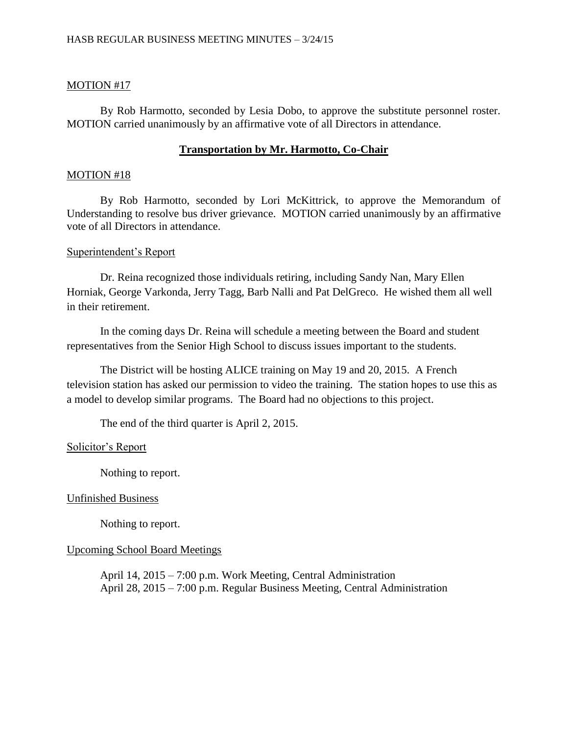### MOTION #17

By Rob Harmotto, seconded by Lesia Dobo, to approve the substitute personnel roster. MOTION carried unanimously by an affirmative vote of all Directors in attendance.

### **Transportation by Mr. Harmotto, Co-Chair**

#### MOTION #18

By Rob Harmotto, seconded by Lori McKittrick, to approve the Memorandum of Understanding to resolve bus driver grievance. MOTION carried unanimously by an affirmative vote of all Directors in attendance.

#### Superintendent's Report

Dr. Reina recognized those individuals retiring, including Sandy Nan, Mary Ellen Horniak, George Varkonda, Jerry Tagg, Barb Nalli and Pat DelGreco. He wished them all well in their retirement.

In the coming days Dr. Reina will schedule a meeting between the Board and student representatives from the Senior High School to discuss issues important to the students.

The District will be hosting ALICE training on May 19 and 20, 2015. A French television station has asked our permission to video the training. The station hopes to use this as a model to develop similar programs. The Board had no objections to this project.

The end of the third quarter is April 2, 2015.

#### Solicitor's Report

Nothing to report.

#### Unfinished Business

Nothing to report.

#### Upcoming School Board Meetings

April 14, 2015 – 7:00 p.m. Work Meeting, Central Administration April 28, 2015 – 7:00 p.m. Regular Business Meeting, Central Administration